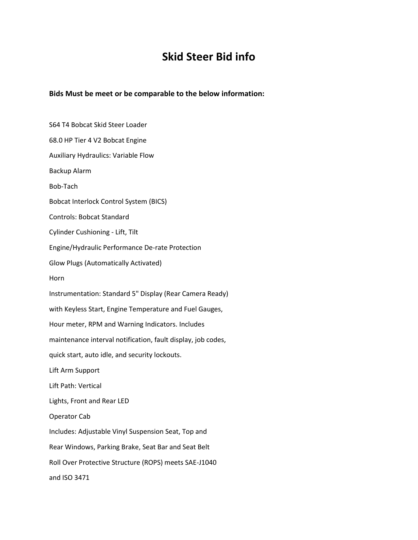## **Skid Steer Bid info**

**Bids Must be meet or be comparable to the below information:**

S64 T4 Bobcat Skid Steer Loader 68.0 HP Tier 4 V2 Bobcat Engine Auxiliary Hydraulics: Variable Flow Backup Alarm Bob-Tach Bobcat Interlock Control System (BICS) Controls: Bobcat Standard Cylinder Cushioning - Lift, Tilt Engine/Hydraulic Performance De-rate Protection Glow Plugs (Automatically Activated) Horn Instrumentation: Standard 5" Display (Rear Camera Ready) with Keyless Start, Engine Temperature and Fuel Gauges, Hour meter, RPM and Warning Indicators. Includes maintenance interval notification, fault display, job codes, quick start, auto idle, and security lockouts. Lift Arm Support Lift Path: Vertical Lights, Front and Rear LED Operator Cab Includes: Adjustable Vinyl Suspension Seat, Top and Rear Windows, Parking Brake, Seat Bar and Seat Belt Roll Over Protective Structure (ROPS) meets SAE-J1040 and ISO 3471